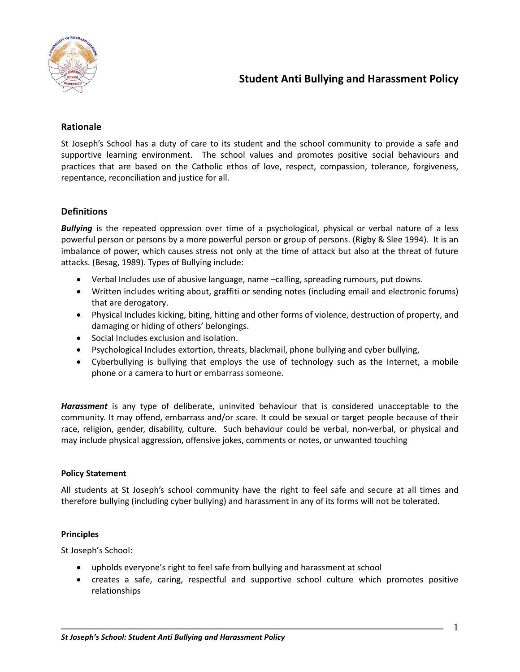

# **Student Anti Bullying and Harassment Policy**

## **Rationale**

St Joseph's School has a duty of care to its student and the school community to provide a safe and supportive learning environment. The school values and promotes positive social behaviours and practices that are based on the Catholic ethos of love, respect, compassion, tolerance, forgiveness, repentance, reconciliation and justice for all.

## **Definitions**

*Bullying* is the repeated oppression over time of a psychological, physical or verbal nature of a less powerful person or persons by a more powerful person or group of persons. (Rigby & Slee 1994). It is an imbalance of power, which causes stress not only at the time of attack but also at the threat of future attacks. (Besag, 1989). Types of Bullying include:

- Verbal Includes use of abusive language, name –calling, spreading rumours, put downs.
- Written includes writing about, graffiti or sending notes (including email and electronic forums) that are derogatory.
- Physical Includes kicking, biting, hitting and other forms of violence, destruction of property, and damaging or hiding of others' belongings.
- Social Includes exclusion and isolation.
- Psychological Includes extortion, threats, blackmail, phone bullying and cyber bullying,
- Cyberbullying is bullying that employs the use of technology such as the Internet, a mobile phone or a camera to hurt or embarrass someone.

*Harassment* is any type of deliberate, uninvited behaviour that is considered unacceptable to the community. It may offend, embarrass and/or scare. It could be sexual or target people because of their race, religion, gender, disability, culture. Such behaviour could be verbal, non-verbal, or physical and may include physical aggression, offensive jokes, comments or notes, or unwanted touching

#### **Policy Statement**

All students at St Joseph's school community have the right to feel safe and secure at all times and therefore bullying (including cyber bullying) and harassment in any of its forms will not be tolerated.

#### **Principles**

St Joseph's School:

- upholds everyone's right to feel safe from bullying and harassment at school
- creates a safe, caring, respectful and supportive school culture which promotes positive relationships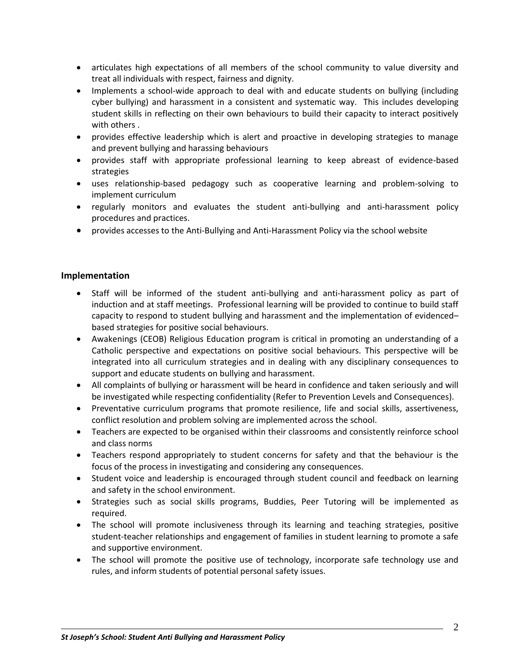- articulates high expectations of all members of the school community to value diversity and treat all individuals with respect, fairness and dignity.
- Implements a school-wide approach to deal with and educate students on bullying (including cyber bullying) and harassment in a consistent and systematic way. This includes developing student skills in reflecting on their own behaviours to build their capacity to interact positively with others .
- provides effective leadership which is alert and proactive in developing strategies to manage and prevent bullying and harassing behaviours
- provides staff with appropriate professional learning to keep abreast of evidence-based strategies
- uses relationship-based pedagogy such as cooperative learning and problem-solving to implement curriculum
- regularly monitors and evaluates the student anti-bullying and anti-harassment policy procedures and practices.
- provides accesses to the Anti-Bullying and Anti-Harassment Policy via the school website

## **Implementation**

- Staff will be informed of the student anti-bullying and anti-harassment policy as part of induction and at staff meetings. Professional learning will be provided to continue to build staff capacity to respond to student bullying and harassment and the implementation of evidenced– based strategies for positive social behaviours.
- Awakenings (CEOB) Religious Education program is critical in promoting an understanding of a Catholic perspective and expectations on positive social behaviours. This perspective will be integrated into all curriculum strategies and in dealing with any disciplinary consequences to support and educate students on bullying and harassment.
- All complaints of bullying or harassment will be heard in confidence and taken seriously and will be investigated while respecting confidentiality (Refer to Prevention Levels and Consequences).
- Preventative curriculum programs that promote resilience, life and social skills, assertiveness, conflict resolution and problem solving are implemented across the school.
- Teachers are expected to be organised within their classrooms and consistently reinforce school and class norms
- Teachers respond appropriately to student concerns for safety and that the behaviour is the focus of the process in investigating and considering any consequences.
- Student voice and leadership is encouraged through student council and feedback on learning and safety in the school environment.
- Strategies such as social skills programs, Buddies, Peer Tutoring will be implemented as required.
- The school will promote inclusiveness through its learning and teaching strategies, positive student-teacher relationships and engagement of families in student learning to promote a safe and supportive environment.
- The school will promote the positive use of technology, incorporate safe technology use and rules, and inform students of potential personal safety issues.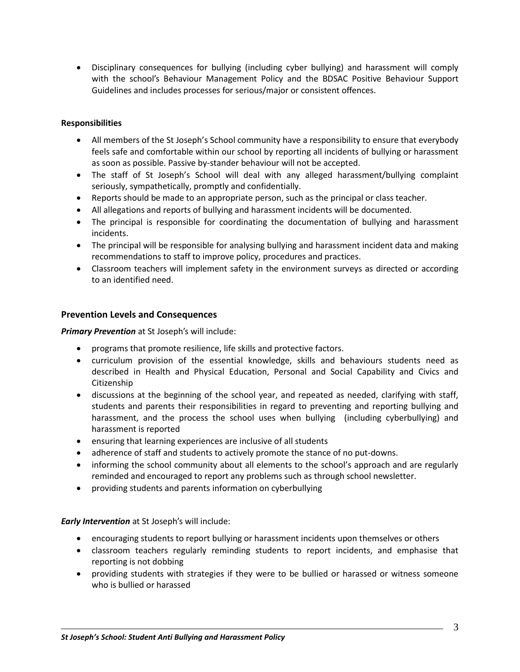Disciplinary consequences for bullying (including cyber bullying) and harassment will comply with the school's Behaviour Management Policy and the BDSAC Positive Behaviour Support Guidelines and includes processes for serious/major or consistent offences.

## **Responsibilities**

- All members of the St Joseph's School community have a responsibility to ensure that everybody feels safe and comfortable within our school by reporting all incidents of bullying or harassment as soon as possible. Passive by-stander behaviour will not be accepted.
- The staff of St Joseph's School will deal with any alleged harassment/bullying complaint seriously, sympathetically, promptly and confidentially.
- Reports should be made to an appropriate person, such as the principal or class teacher.
- All allegations and reports of bullying and harassment incidents will be documented.
- The principal is responsible for coordinating the documentation of bullying and harassment incidents.
- The principal will be responsible for analysing bullying and harassment incident data and making recommendations to staff to improve policy, procedures and practices.
- Classroom teachers will implement safety in the environment surveys as directed or according to an identified need.

## **Prevention Levels and Consequences**

*Primary Prevention* at St Joseph's will include:

- programs that promote resilience, life skills and protective factors.
- curriculum provision of the essential knowledge, skills and behaviours students need as described in Health and Physical Education, Personal and Social Capability and Civics and Citizenship
- discussions at the beginning of the school year, and repeated as needed, clarifying with staff, students and parents their responsibilities in regard to preventing and reporting bullying and harassment, and the process the school uses when bullying (including cyberbullying) and harassment is reported
- ensuring that learning experiences are inclusive of all students
- adherence of staff and students to actively promote the stance of no put-downs.
- informing the school community about all elements to the school's approach and are regularly reminded and encouraged to report any problems such as through school newsletter.
- providing students and parents information on cyberbullying

*Early Intervention* at St Joseph's will include:

- encouraging students to report bullying or harassment incidents upon themselves or others
- classroom teachers regularly reminding students to report incidents, and emphasise that reporting is not dobbing
- providing students with strategies if they were to be bullied or harassed or witness someone who is bullied or harassed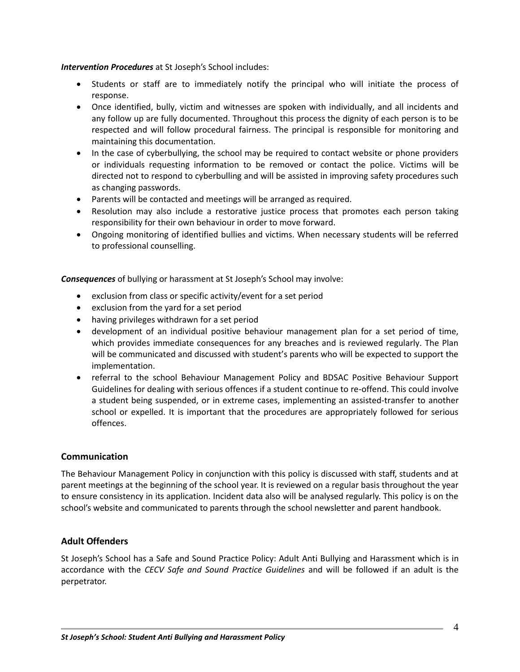#### *Intervention Procedures* at St Joseph's School includes:

- Students or staff are to immediately notify the principal who will initiate the process of response.
- Once identified, bully, victim and witnesses are spoken with individually, and all incidents and any follow up are fully documented. Throughout this process the dignity of each person is to be respected and will follow procedural fairness. The principal is responsible for monitoring and maintaining this documentation.
- In the case of cyberbullying, the school may be required to contact website or phone providers or individuals requesting information to be removed or contact the police. Victims will be directed not to respond to cyberbulling and will be assisted in improving safety procedures such as changing passwords.
- Parents will be contacted and meetings will be arranged as required.
- Resolution may also include a restorative justice process that promotes each person taking responsibility for their own behaviour in order to move forward.
- Ongoing monitoring of identified bullies and victims. When necessary students will be referred to professional counselling.

*Consequences* of bullying or harassment at St Joseph's School may involve:

- exclusion from class or specific activity/event for a set period
- exclusion from the yard for a set period
- having privileges withdrawn for a set period
- development of an individual positive behaviour management plan for a set period of time, which provides immediate consequences for any breaches and is reviewed regularly. The Plan will be communicated and discussed with student's parents who will be expected to support the implementation.
- referral to the school Behaviour Management Policy and BDSAC Positive Behaviour Support Guidelines for dealing with serious offences if a student continue to re-offend. This could involve a student being suspended, or in extreme cases, implementing an assisted-transfer to another school or expelled. It is important that the procedures are appropriately followed for serious offences.

# **Communication**

The Behaviour Management Policy in conjunction with this policy is discussed with staff, students and at parent meetings at the beginning of the school year. It is reviewed on a regular basis throughout the year to ensure consistency in its application. Incident data also will be analysed regularly. This policy is on the school's website and communicated to parents through the school newsletter and parent handbook.

# **Adult Offenders**

St Joseph's School has a Safe and Sound Practice Policy: Adult Anti Bullying and Harassment which is in accordance with the *CECV Safe and Sound Practice Guidelines* and will be followed if an adult is the perpetrator.